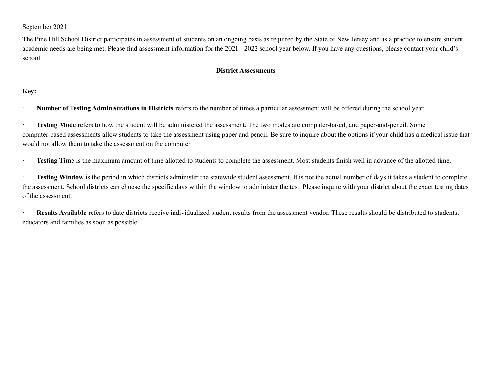## September 2021

The Pine Hill School District participates in assessment of students on an ongoing basis as required by the State of New Jersey and as a practice to ensure student academic needs are being met. Please find assessment information for the 2021 - 2022 school year below. If you have any questions, please contact your child's school

## **District Assessments**

## **Key:**

· **Number of Testing Administrations in Districts** refers to the number of times a particular assessment will be offered during the school year.

· **Testing Mode** refers to how the student will be administered the assessment. The two modes are computer-based, and paper-and-pencil. Some computer-based assessments allow students to take the assessment using paper and pencil. Be sure to inquire about the options if your child has a medical issue that would not allow them to take the assessment on the computer.

**Testing Time** is the maximum amount of time allotted to students to complete the assessment. Most students finish well in advance of the allotted time.

· **Testing Window** is the period in which districts administer the statewide student assessment. It is not the actual number of days it takes a student to complete the assessment. School districts can choose the specific days within the window to administer the test. Please inquire with your district about the exact testing dates of the assessment.

· **Results Available** refers to date districts receive individualized student results from the assessment vendor. These results should be distributed to students, educators and families as soon as possible.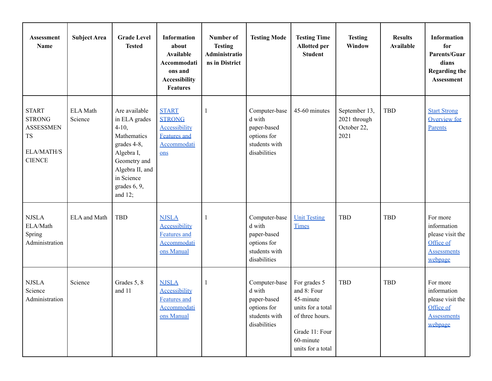| <b>Assessment</b><br>Name                                                              | <b>Subject Area</b>        | <b>Grade Level</b><br><b>Tested</b>                                                                                                                                  | <b>Information</b><br>about<br><b>Available</b><br>Accommodati<br>ons and<br><b>Accessibility</b><br><b>Features</b> | Number of<br><b>Testing</b><br>Administratio<br>ns in District | <b>Testing Mode</b>                                                                    | <b>Testing Time</b><br><b>Allotted per</b><br><b>Student</b>                                                                         | <b>Testing</b><br>Window                             | <b>Results</b><br><b>Available</b> | <b>Information</b><br>for<br>Parents/Guar<br>dians<br><b>Regarding the</b><br><b>Assessment</b> |
|----------------------------------------------------------------------------------------|----------------------------|----------------------------------------------------------------------------------------------------------------------------------------------------------------------|----------------------------------------------------------------------------------------------------------------------|----------------------------------------------------------------|----------------------------------------------------------------------------------------|--------------------------------------------------------------------------------------------------------------------------------------|------------------------------------------------------|------------------------------------|-------------------------------------------------------------------------------------------------|
| <b>START</b><br><b>STRONG</b><br><b>ASSESSMEN</b><br>TS<br>ELA/MATH/S<br><b>CIENCE</b> | <b>ELA</b> Math<br>Science | Are available<br>in ELA grades<br>$4-10,$<br>Mathematics<br>grades 4-8,<br>Algebra I,<br>Geometry and<br>Algebra II, and<br>in Science<br>grades 6, 9,<br>and $12$ ; | <b>START</b><br><b>STRONG</b><br><b>Accessibility</b><br><b>Features</b> and<br>Accommodati<br>ons                   | -1                                                             | Computer-base<br>d with<br>paper-based<br>options for<br>students with<br>disabilities | 45-60 minutes                                                                                                                        | September 13,<br>2021 through<br>October 22,<br>2021 | <b>TBD</b>                         | <b>Start Strong</b><br><b>Overview for</b><br>Parents                                           |
| <b>NJSLA</b><br>ELA/Math<br>Spring<br>Administration                                   | ELA and Math               | <b>TBD</b>                                                                                                                                                           | <b>NJSLA</b><br><b>Accessibility</b><br>Features and<br>Accommodati<br>ons Manual                                    | -1                                                             | Computer-base<br>d with<br>paper-based<br>options for<br>students with<br>disabilities | <b>Unit Testing</b><br><b>Times</b>                                                                                                  | <b>TBD</b>                                           | TBD                                | For more<br>information<br>please visit the<br>Office of<br><b>Assessments</b><br>webpage       |
| <b>NJSLA</b><br>Science<br>Administration                                              | Science                    | Grades 5, 8<br>and 11                                                                                                                                                | <b>NJSLA</b><br><b>Accessibility</b><br><b>Features</b> and<br>Accommodati<br>ons Manual                             | $\mathbf{1}$                                                   | Computer-base<br>d with<br>paper-based<br>options for<br>students with<br>disabilities | For grades 5<br>and 8: Four<br>45-minute<br>units for a total<br>of three hours.<br>Grade 11: Four<br>60-minute<br>units for a total | <b>TBD</b>                                           | <b>TBD</b>                         | For more<br>information<br>please visit the<br>Office of<br><b>Assessments</b><br>webpage       |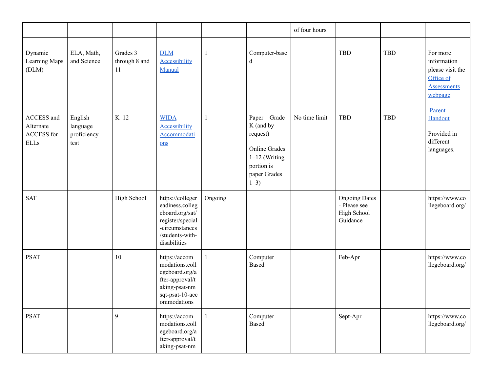|                                                      |                                            |                                 |                                                                                                                                 |              |                                                                                                                              | of four hours |                                                                        |            |                                                                                           |
|------------------------------------------------------|--------------------------------------------|---------------------------------|---------------------------------------------------------------------------------------------------------------------------------|--------------|------------------------------------------------------------------------------------------------------------------------------|---------------|------------------------------------------------------------------------|------------|-------------------------------------------------------------------------------------------|
| Dynamic<br>Learning Maps<br>(DLM)                    | ELA, Math,<br>and Science                  | Grades 3<br>through 8 and<br>11 | <b>DLM</b><br><b>Accessibility</b><br>Manual                                                                                    | $\mathbf{1}$ | Computer-base<br>$\mathbf d$                                                                                                 |               | <b>TBD</b>                                                             | <b>TBD</b> | For more<br>information<br>please visit the<br>Office of<br><b>Assessments</b><br>webpage |
| ACCESS and<br>Alternate<br>ACCESS for<br><b>ELLs</b> | English<br>language<br>proficiency<br>test | $K-12$                          | <b>WIDA</b><br><b>Accessibility</b><br>Accommodati<br>$ons$                                                                     | $\mathbf{1}$ | Paper - Grade<br>K (and by<br>request)<br><b>Online Grades</b><br>$1-12$ (Writing<br>portion is<br>paper Grades<br>$1 - 3$ ) | No time limit | <b>TBD</b>                                                             | <b>TBD</b> | Parent<br>Handout<br>Provided in<br>different<br>languages.                               |
| <b>SAT</b>                                           |                                            | High School                     | https://colleger<br>eadiness.colleg<br>eboard.org/sat/<br>register/special<br>-circumstances<br>/students-with-<br>disabilities | Ongoing      |                                                                                                                              |               | <b>Ongoing Dates</b><br>- Please see<br><b>High School</b><br>Guidance |            | https://www.co<br>llegeboard.org/                                                         |
| <b>PSAT</b>                                          |                                            | 10                              | https://accom<br>modations.coll<br>egeboard.org/a<br>fter-approval/t<br>aking-psat-nm<br>sqt-psat-10-acc<br>ommodations         |              | Computer<br>Based                                                                                                            |               | Feb-Apr                                                                |            | https://www.co<br>llegeboard.org/                                                         |
| <b>PSAT</b>                                          |                                            | $\boldsymbol{9}$                | https://accom<br>modations.coll<br>egeboard.org/a<br>fter-approval/t<br>aking-psat-nm                                           |              | Computer<br>Based                                                                                                            |               | Sept-Apr                                                               |            | https://www.co<br>llegeboard.org/                                                         |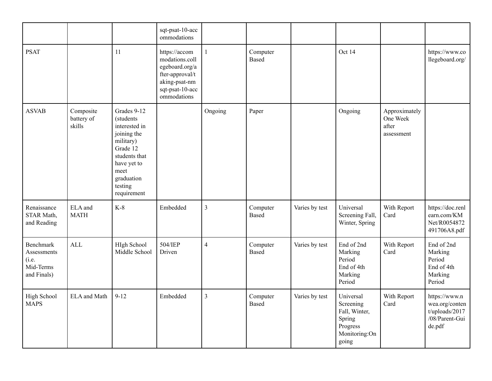|                                                                      |                                   |                                                                                                                                                                   | sqt-psat-10-acc<br>ommodations                                                                                          |                |                          |                |                                                                                         |                                                  |                                                                                  |
|----------------------------------------------------------------------|-----------------------------------|-------------------------------------------------------------------------------------------------------------------------------------------------------------------|-------------------------------------------------------------------------------------------------------------------------|----------------|--------------------------|----------------|-----------------------------------------------------------------------------------------|--------------------------------------------------|----------------------------------------------------------------------------------|
| <b>PSAT</b>                                                          |                                   | 11                                                                                                                                                                | https://accom<br>modations.coll<br>egeboard.org/a<br>fter-approval/t<br>aking-psat-nm<br>sqt-psat-10-acc<br>ommodations | $\mathbf{1}$   | Computer<br><b>Based</b> |                | Oct 14                                                                                  |                                                  | https://www.co<br>llegeboard.org/                                                |
| <b>ASVAB</b>                                                         | Composite<br>battery of<br>skills | Grades 9-12<br>(students<br>interested in<br>joining the<br>military)<br>Grade 12<br>students that<br>have yet to<br>meet<br>graduation<br>testing<br>requirement |                                                                                                                         | Ongoing        | Paper                    |                | Ongoing                                                                                 | Approximately<br>One Week<br>after<br>assessment |                                                                                  |
| Renaissance<br>STAR Math,<br>and Reading                             | ELA and<br><b>MATH</b>            | $K-8$                                                                                                                                                             | Embedded                                                                                                                | $\overline{3}$ | Computer<br>Based        | Varies by test | Universal<br>Screening Fall,<br>Winter, Spring                                          | With Report<br>Card                              | https://doc.renl<br>earn.com/KM<br>Net/R0054872<br>491706A8.pdf                  |
| <b>Benchmark</b><br>Assessments<br>(i.e.<br>Mid-Terms<br>and Finals) | <b>ALL</b>                        | HIgh School<br>Middle School                                                                                                                                      | 504/IEP<br>Driven                                                                                                       | $\overline{4}$ | Computer<br><b>Based</b> | Varies by test | End of 2nd<br>Marking<br>Period<br>End of 4th<br>Marking<br>Period                      | With Report<br>Card                              | End of 2nd<br>Marking<br>Period<br>End of 4th<br>Marking<br>Period               |
| <b>High School</b><br><b>MAPS</b>                                    | <b>ELA</b> and Math               | $9 - 12$                                                                                                                                                          | Embedded                                                                                                                | $\overline{3}$ | Computer<br><b>Based</b> | Varies by test | Universal<br>Screening<br>Fall, Winter,<br>Spring<br>Progress<br>Monitoring:On<br>going | With Report<br>Card                              | https://www.n<br>wea.org/conten<br>$t$ /uploads/2017<br>/08/Parent-Gui<br>de.pdf |